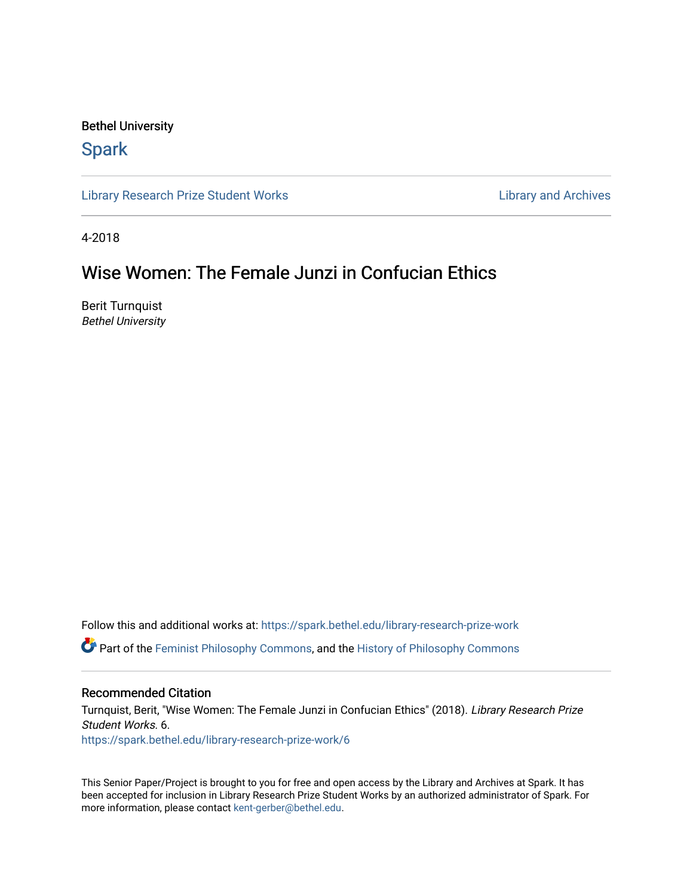### Bethel University

## **Spark**

[Library Research Prize Student Works](https://spark.bethel.edu/library-research-prize-work) **Library Access 2018** Library and Archives

4-2018

# Wise Women: The Female Junzi in Confucian Ethics

Berit Turnquist Bethel University

Follow this and additional works at: [https://spark.bethel.edu/library-research-prize-work](https://spark.bethel.edu/library-research-prize-work?utm_source=spark.bethel.edu%2Flibrary-research-prize-work%2F6&utm_medium=PDF&utm_campaign=PDFCoverPages)  Part of the [Feminist Philosophy Commons,](http://network.bepress.com/hgg/discipline/530?utm_source=spark.bethel.edu%2Flibrary-research-prize-work%2F6&utm_medium=PDF&utm_campaign=PDFCoverPages) and the [History of Philosophy Commons](http://network.bepress.com/hgg/discipline/531?utm_source=spark.bethel.edu%2Flibrary-research-prize-work%2F6&utm_medium=PDF&utm_campaign=PDFCoverPages)

#### Recommended Citation

Turnquist, Berit, "Wise Women: The Female Junzi in Confucian Ethics" (2018). Library Research Prize Student Works. 6. [https://spark.bethel.edu/library-research-prize-work/6](https://spark.bethel.edu/library-research-prize-work/6?utm_source=spark.bethel.edu%2Flibrary-research-prize-work%2F6&utm_medium=PDF&utm_campaign=PDFCoverPages)

This Senior Paper/Project is brought to you for free and open access by the Library and Archives at Spark. It has been accepted for inclusion in Library Research Prize Student Works by an authorized administrator of Spark. For more information, please contact [kent-gerber@bethel.edu.](mailto:kent-gerber@bethel.edu)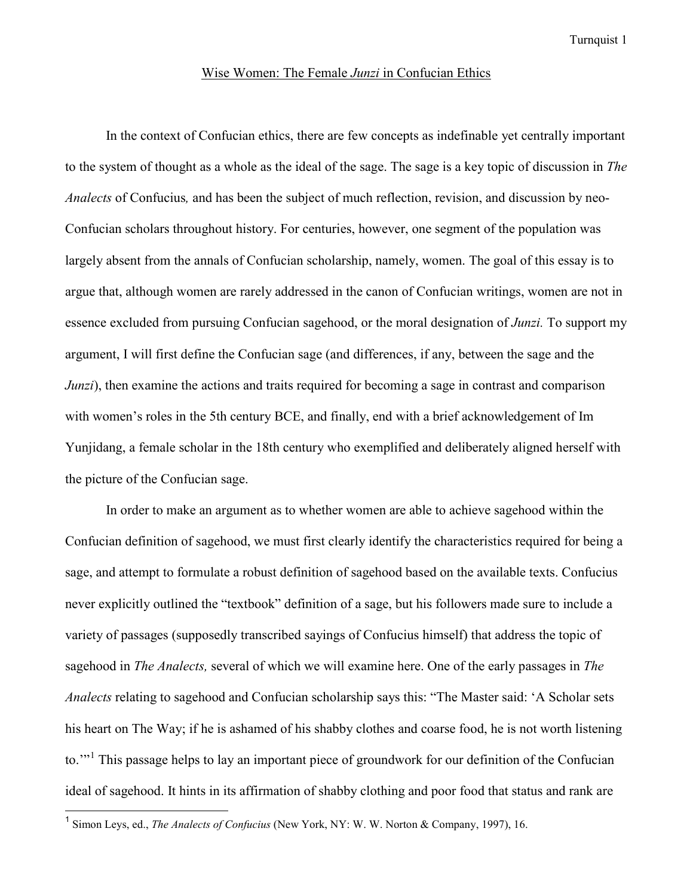Turnquist 1

#### Wise Women: The Female *Junzi* in Confucian Ethics

In the context of Confucian ethics, there are few concepts as indefinable yet centrally important to the system of thought as a whole as the ideal of the sage. The sage is a key topic of discussion in *The Analects* of Confucius*,* and has been the subject of much reflection, revision, and discussion by neo-Confucian scholars throughout history. For centuries, however, one segment of the population was largely absent from the annals of Confucian scholarship, namely, women. The goal of this essay is to argue that, although women are rarely addressed in the canon of Confucian writings, women are not in essence excluded from pursuing Confucian sagehood, or the moral designation of *Junzi.* To support my argument, I will first define the Confucian sage (and differences, if any, between the sage and the *Junzi*), then examine the actions and traits required for becoming a sage in contrast and comparison with women's roles in the 5th century BCE, and finally, end with a brief acknowledgement of Im Yunjidang, a female scholar in the 18th century who exemplified and deliberately aligned herself with the picture of the Confucian sage.

In order to make an argument as to whether women are able to achieve sagehood within the Confucian definition of sagehood, we must first clearly identify the characteristics required for being a sage, and attempt to formulate a robust definition of sagehood based on the available texts. Confucius never explicitly outlined the "textbook" definition of a sage, but his followers made sure to include a variety of passages (supposedly transcribed sayings of Confucius himself) that address the topic of sagehood in *The Analects,* several of which we will examine here. One of the early passages in *The Analects* relating to sagehood and Confucian scholarship says this: "The Master said: 'A Scholar sets his heart on The Way; if he is ashamed of his shabby clothes and coarse food, he is not worth listening to."<sup>[1](#page-1-0)</sup> This passage helps to lay an important piece of groundwork for our definition of the Confucian ideal of sagehood. It hints in its affirmation of shabby clothing and poor food that status and rank are

<span id="page-1-0"></span><sup>1</sup> Simon Leys, ed., *The Analects of Confucius* (New York, NY: W. W. Norton & Company, 1997), 16.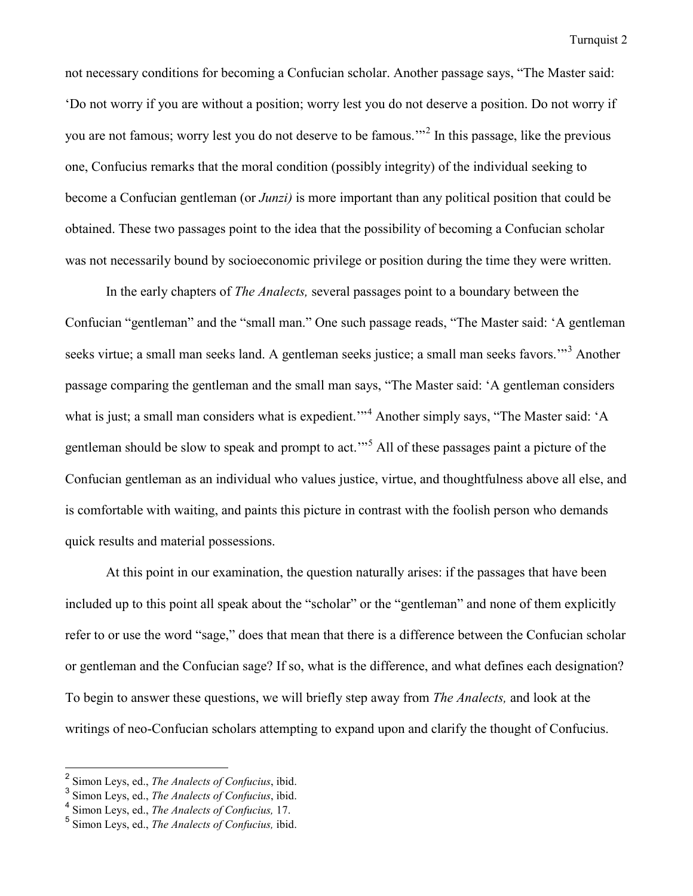not necessary conditions for becoming a Confucian scholar. Another passage says, "The Master said: 'Do not worry if you are without a position; worry lest you do not deserve a position. Do not worry if you are not famous; worry lest you do not deserve to be famous.'"[2](#page-2-0) In this passage, like the previous one, Confucius remarks that the moral condition (possibly integrity) of the individual seeking to become a Confucian gentleman (or *Junzi)* is more important than any political position that could be obtained. These two passages point to the idea that the possibility of becoming a Confucian scholar was not necessarily bound by socioeconomic privilege or position during the time they were written.

 In the early chapters of *The Analects,* several passages point to a boundary between the Confucian "gentleman" and the "small man." One such passage reads, "The Master said: 'A gentleman seeks virtue; a small man seeks land. A gentleman seeks justice; a small man seeks favors."<sup>[3](#page-2-1)</sup> Another passage comparing the gentleman and the small man says, "The Master said: 'A gentleman considers what is just; a small man considers what is expedient."<sup>[4](#page-2-2)</sup> Another simply says, "The Master said: 'A gentleman should be slow to speak and prompt to act.'"[5](#page-2-3) All of these passages paint a picture of the Confucian gentleman as an individual who values justice, virtue, and thoughtfulness above all else, and is comfortable with waiting, and paints this picture in contrast with the foolish person who demands quick results and material possessions.

At this point in our examination, the question naturally arises: if the passages that have been included up to this point all speak about the "scholar" or the "gentleman" and none of them explicitly refer to or use the word "sage," does that mean that there is a difference between the Confucian scholar or gentleman and the Confucian sage? If so, what is the difference, and what defines each designation? To begin to answer these questions, we will briefly step away from *The Analects,* and look at the writings of neo-Confucian scholars attempting to expand upon and clarify the thought of Confucius.

<span id="page-2-0"></span><sup>2</sup> Simon Leys, ed., *The Analects of Confucius*, ibid.

<span id="page-2-1"></span><sup>3</sup> Simon Leys, ed., *The Analects of Confucius*, ibid.

<span id="page-2-2"></span><sup>4</sup> Simon Leys, ed., *The Analects of Confucius,* 17.

<span id="page-2-3"></span><sup>5</sup> Simon Leys, ed., *The Analects of Confucius,* ibid.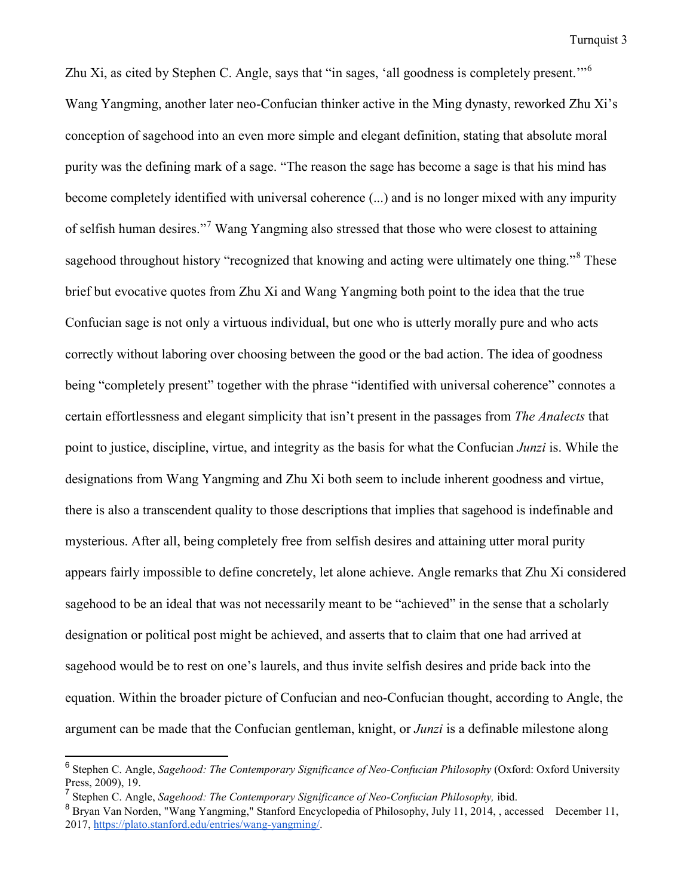Zhu Xi, as cited by Stephen C. Angle, says that "in sages, 'all goodness is completely present.'"[6](#page-3-0) Wang Yangming, another later neo-Confucian thinker active in the Ming dynasty, reworked Zhu Xi's conception of sagehood into an even more simple and elegant definition, stating that absolute moral purity was the defining mark of a sage. "The reason the sage has become a sage is that his mind has become completely identified with universal coherence (...) and is no longer mixed with any impurity of selfish human desires."[7](#page-3-1) Wang Yangming also stressed that those who were closest to attaining sagehood throughout history "recognized that knowing and acting were ultimately one thing."<sup>[8](#page-3-2)</sup> These brief but evocative quotes from Zhu Xi and Wang Yangming both point to the idea that the true Confucian sage is not only a virtuous individual, but one who is utterly morally pure and who acts correctly without laboring over choosing between the good or the bad action. The idea of goodness being "completely present" together with the phrase "identified with universal coherence" connotes a certain effortlessness and elegant simplicity that isn't present in the passages from *The Analects* that point to justice, discipline, virtue, and integrity as the basis for what the Confucian *Junzi* is. While the designations from Wang Yangming and Zhu Xi both seem to include inherent goodness and virtue, there is also a transcendent quality to those descriptions that implies that sagehood is indefinable and mysterious. After all, being completely free from selfish desires and attaining utter moral purity appears fairly impossible to define concretely, let alone achieve. Angle remarks that Zhu Xi considered sagehood to be an ideal that was not necessarily meant to be "achieved" in the sense that a scholarly designation or political post might be achieved, and asserts that to claim that one had arrived at sagehood would be to rest on one's laurels, and thus invite selfish desires and pride back into the equation. Within the broader picture of Confucian and neo-Confucian thought, according to Angle, the argument can be made that the Confucian gentleman, knight, or *Junzi* is a definable milestone along

<span id="page-3-0"></span><sup>6</sup> Stephen C. Angle, *Sagehood: The Contemporary Significance of Neo-Confucian Philosophy* (Oxford: Oxford University Press, 2009), 19.

<span id="page-3-1"></span><sup>7</sup> Stephen C. Angle, *Sagehood: The Contemporary Significance of Neo-Confucian Philosophy,* ibid.

<span id="page-3-2"></span><sup>&</sup>lt;sup>8</sup> Bryan Van Norden, "Wang Yangming," Stanford Encyclopedia of Philosophy, July 11, 2014, , accessed December 11, 2017[, https://plato.stanford.edu/entries/wang-yangming/.](https://plato.stanford.edu/entries/wang-yangming/)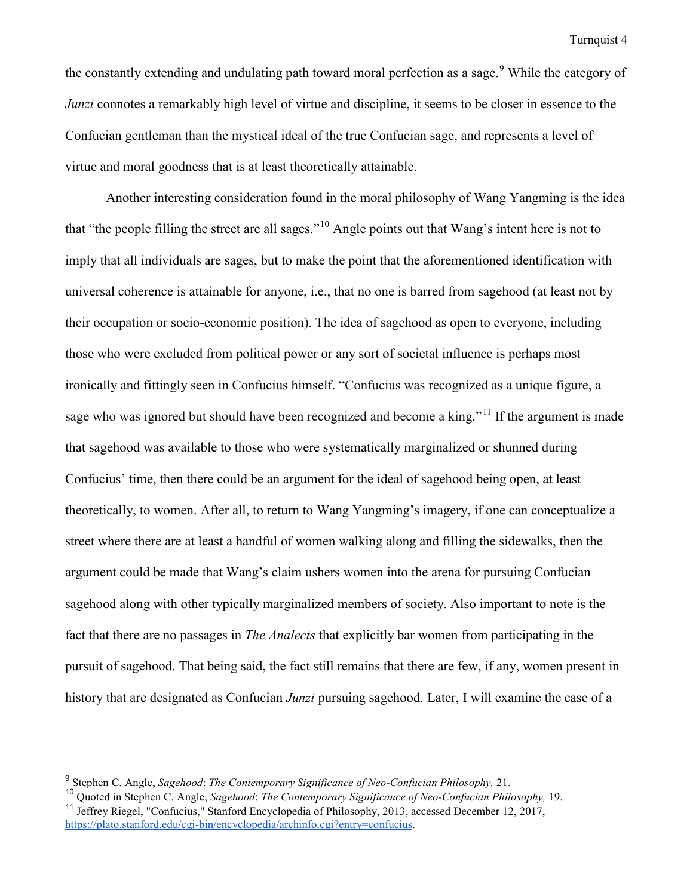the constantly extending and undulating path toward moral perfection as a sage.<sup>[9](#page-4-0)</sup> While the category of *Junzi* connotes a remarkably high level of virtue and discipline, it seems to be closer in essence to the Confucian gentleman than the mystical ideal of the true Confucian sage, and represents a level of virtue and moral goodness that is at least theoretically attainable.

Another interesting consideration found in the moral philosophy of Wang Yangming is the idea that "the people filling the street are all sages."[10](#page-4-1) Angle points out that Wang's intent here is not to imply that all individuals are sages, but to make the point that the aforementioned identification with universal coherence is attainable for anyone, i.e., that no one is barred from sagehood (at least not by their occupation or socio-economic position). The idea of sagehood as open to everyone, including those who were excluded from political power or any sort of societal influence is perhaps most ironically and fittingly seen in Confucius himself. "Confucius was recognized as a unique figure, a sage who was ignored but should have been recognized and become a king."<sup>[11](#page-4-2)</sup> If the argument is made that sagehood was available to those who were systematically marginalized or shunned during Confucius' time, then there could be an argument for the ideal of sagehood being open, at least theoretically, to women. After all, to return to Wang Yangming's imagery, if one can conceptualize a street where there are at least a handful of women walking along and filling the sidewalks, then the argument could be made that Wang's claim ushers women into the arena for pursuing Confucian sagehood along with other typically marginalized members of society. Also important to note is the fact that there are no passages in *The Analects* that explicitly bar women from participating in the pursuit of sagehood. That being said, the fact still remains that there are few, if any, women present in history that are designated as Confucian *Junzi* pursuing sagehood. Later, I will examine the case of a

<span id="page-4-0"></span><sup>9</sup> Stephen C. Angle, *Sagehood*: *The Contemporary Significance of Neo-Confucian Philosophy,* 21.

<span id="page-4-2"></span><span id="page-4-1"></span><sup>10</sup> Quoted in Stephen C. Angle, *Sagehood*: *The Contemporary Significance of Neo-Confucian Philosophy,* 19. <sup>11</sup> Jeffrey Riegel, "Confucius," Stanford Encyclopedia of Philosophy, 2013, accessed December 12, 2017, [https://plato.stanford.edu/cgi-bin/encyclopedia/archinfo.cgi?entry=confucius.](https://plato.stanford.edu/cgi-bin/encyclopedia/archinfo.cgi?entry=confucius)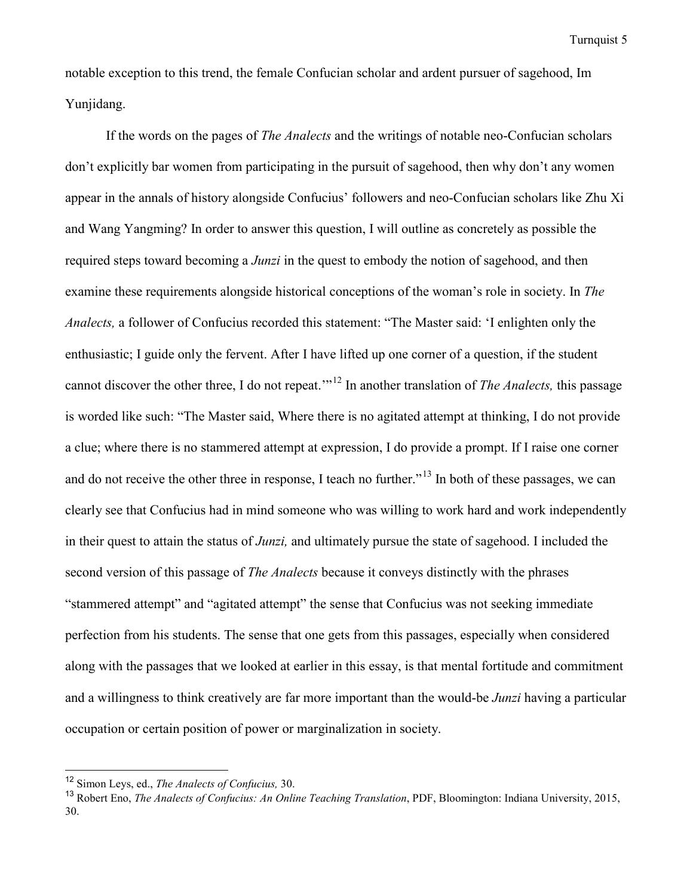notable exception to this trend, the female Confucian scholar and ardent pursuer of sagehood, Im Yunjidang.

If the words on the pages of *The Analects* and the writings of notable neo-Confucian scholars don't explicitly bar women from participating in the pursuit of sagehood, then why don't any women appear in the annals of history alongside Confucius' followers and neo-Confucian scholars like Zhu Xi and Wang Yangming? In order to answer this question, I will outline as concretely as possible the required steps toward becoming a *Junzi* in the quest to embody the notion of sagehood, and then examine these requirements alongside historical conceptions of the woman's role in society. In *The Analects,* a follower of Confucius recorded this statement: "The Master said: 'I enlighten only the enthusiastic; I guide only the fervent. After I have lifted up one corner of a question, if the student cannot discover the other three, I do not repeat.'"[12](#page-5-0) In another translation of *The Analects,* this passage is worded like such: "The Master said, Where there is no agitated attempt at thinking, I do not provide a clue; where there is no stammered attempt at expression, I do provide a prompt. If I raise one corner and do not receive the other three in response, I teach no further."<sup>13</sup> In both of these passages, we can clearly see that Confucius had in mind someone who was willing to work hard and work independently in their quest to attain the status of *Junzi,* and ultimately pursue the state of sagehood. I included the second version of this passage of *The Analects* because it conveys distinctly with the phrases "stammered attempt" and "agitated attempt" the sense that Confucius was not seeking immediate perfection from his students. The sense that one gets from this passages, especially when considered along with the passages that we looked at earlier in this essay, is that mental fortitude and commitment and a willingness to think creatively are far more important than the would-be *Junzi* having a particular occupation or certain position of power or marginalization in society.

<span id="page-5-0"></span><sup>12</sup> Simon Leys, ed., *The Analects of Confucius,* 30.

<span id="page-5-1"></span><sup>13</sup> Robert Eno, *The Analects of Confucius: An Online Teaching Translation*, PDF, Bloomington: Indiana University, 2015, 30.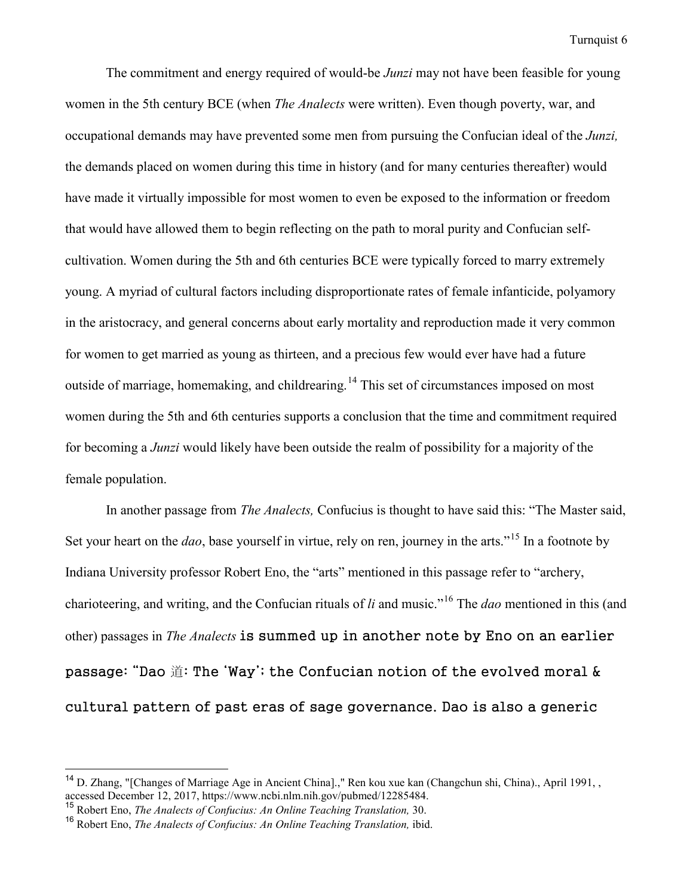The commitment and energy required of would-be *Junzi* may not have been feasible for young women in the 5th century BCE (when *The Analects* were written). Even though poverty, war, and occupational demands may have prevented some men from pursuing the Confucian ideal of the *Junzi,*  the demands placed on women during this time in history (and for many centuries thereafter) would have made it virtually impossible for most women to even be exposed to the information or freedom that would have allowed them to begin reflecting on the path to moral purity and Confucian selfcultivation. Women during the 5th and 6th centuries BCE were typically forced to marry extremely young. A myriad of cultural factors including disproportionate rates of female infanticide, polyamory in the aristocracy, and general concerns about early mortality and reproduction made it very common for women to get married as young as thirteen, and a precious few would ever have had a future outside of marriage, homemaking, and childrearing.<sup>[14](#page-6-0)</sup> This set of circumstances imposed on most women during the 5th and 6th centuries supports a conclusion that the time and commitment required for becoming a *Junzi* would likely have been outside the realm of possibility for a majority of the female population.

In another passage from *The Analects,* Confucius is thought to have said this: "The Master said, Set your heart on the *dao*, base yourself in virtue, rely on ren, journey in the arts."<sup>[15](#page-6-1)</sup> In a footnote by Indiana University professor Robert Eno, the "arts" mentioned in this passage refer to "archery, charioteering, and writing, and the Confucian rituals of *li* and music."[16](#page-6-2) The *dao* mentioned in this (and other) passages in *The Analects* is summed up in another note by Eno on an earlier passage: "Dao 道: The 'Way'; the Confucian notion of the evolved moral & cultural pattern of past eras of sage governance. Dao is also a generic

<span id="page-6-0"></span><sup>&</sup>lt;sup>14</sup> D. Zhang, "[Changes of Marriage Age in Ancient China].," Ren kou xue kan (Changchun shi, China)., April 1991, , accessed December 12, 2017, https://www.ncbi.nlm.nih.gov/pubmed/12285484.

<span id="page-6-1"></span><sup>15</sup> Robert Eno, *The Analects of Confucius: An Online Teaching Translation,* 30.

<span id="page-6-2"></span><sup>16</sup> Robert Eno, *The Analects of Confucius: An Online Teaching Translation,* ibid.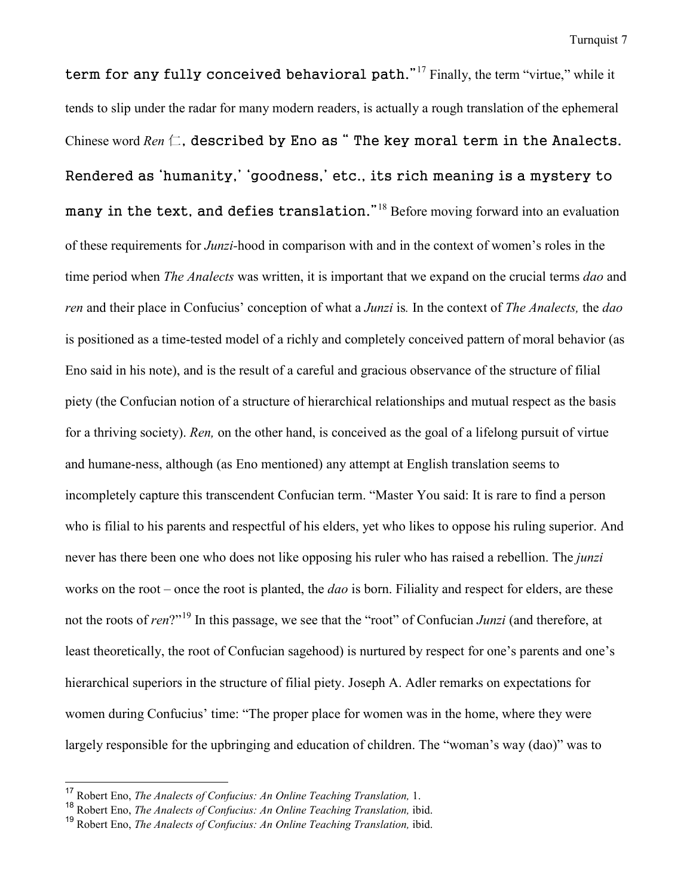term for any fully conceived behavioral path."<sup>[17](#page-7-0)</sup> Finally, the term "virtue," while it tends to slip under the radar for many modern readers, is actually a rough translation of the ephemeral Chinese word  $Ren \nsubseteq$ , described by Eno as "The key moral term in the Analects. Rendered as 'humanity,' 'goodness,' etc., its rich meaning is a mystery to many in the text, and defies translation."<sup>[18](#page-7-1)</sup> Before moving forward into an evaluation of these requirements for *Junzi-*hood in comparison with and in the context of women's roles in the time period when *The Analects* was written, it is important that we expand on the crucial terms *dao* and *ren* and their place in Confucius' conception of what a *Junzi* is*.* In the context of *The Analects,* the *dao*  is positioned as a time-tested model of a richly and completely conceived pattern of moral behavior (as Eno said in his note), and is the result of a careful and gracious observance of the structure of filial piety (the Confucian notion of a structure of hierarchical relationships and mutual respect as the basis for a thriving society). *Ren,* on the other hand, is conceived as the goal of a lifelong pursuit of virtue and humane-ness, although (as Eno mentioned) any attempt at English translation seems to incompletely capture this transcendent Confucian term. "Master You said: It is rare to find a person who is filial to his parents and respectful of his elders, yet who likes to oppose his ruling superior. And never has there been one who does not like opposing his ruler who has raised a rebellion. The *junzi*  works on the root – once the root is planted, the *dao* is born. Filiality and respect for elders, are these not the roots of *ren*?"[19](#page-7-2) In this passage, we see that the "root" of Confucian *Junzi* (and therefore, at least theoretically, the root of Confucian sagehood) is nurtured by respect for one's parents and one's hierarchical superiors in the structure of filial piety. Joseph A. Adler remarks on expectations for women during Confucius' time: "The proper place for women was in the home, where they were largely responsible for the upbringing and education of children. The "woman's way (dao)" was to

<span id="page-7-0"></span><sup>17</sup> Robert Eno, *The Analects of Confucius: An Online Teaching Translation,* 1.

<span id="page-7-1"></span><sup>18</sup> Robert Eno, *The Analects of Confucius: An Online Teaching Translation,* ibid.

<span id="page-7-2"></span><sup>19</sup> Robert Eno, *The Analects of Confucius: An Online Teaching Translation,* ibid.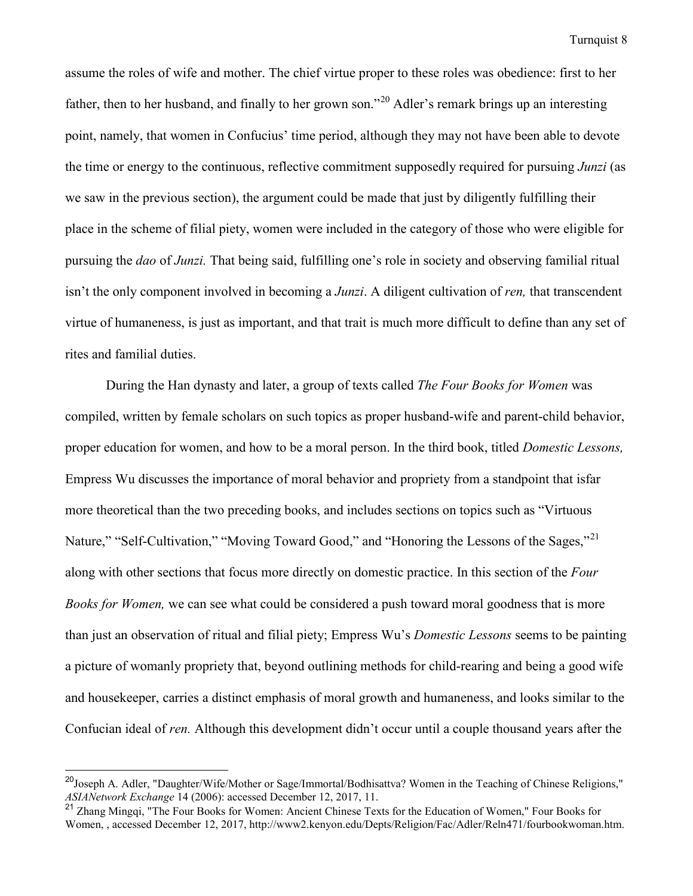assume the roles of wife and mother. The chief virtue proper to these roles was obedience: first to her father, then to her husband, and finally to her grown son."[20](#page-8-0) Adler's remark brings up an interesting point, namely, that women in Confucius' time period, although they may not have been able to devote the time or energy to the continuous, reflective commitment supposedly required for pursuing *Junzi* (as we saw in the previous section), the argument could be made that just by diligently fulfilling their place in the scheme of filial piety, women were included in the category of those who were eligible for pursuing the *dao* of *Junzi.* That being said, fulfilling one's role in society and observing familial ritual isn't the only component involved in becoming a *Junzi*. A diligent cultivation of *ren,* that transcendent virtue of humaneness, is just as important, and that trait is much more difficult to define than any set of rites and familial duties.

During the Han dynasty and later, a group of texts called *The Four Books for Women* was compiled, written by female scholars on such topics as proper husband-wife and parent-child behavior, proper education for women, and how to be a moral person. In the third book, titled *Domestic Lessons,*  Empress Wu discusses the importance of moral behavior and propriety from a standpoint that isfar more theoretical than the two preceding books, and includes sections on topics such as "Virtuous Nature," "Self-Cultivation," "Moving Toward Good," and "Honoring the Lessons of the Sages,"<sup>[21](#page-8-1)</sup> along with other sections that focus more directly on domestic practice. In this section of the *Four Books for Women,* we can see what could be considered a push toward moral goodness that is more than just an observation of ritual and filial piety; Empress Wu's *Domestic Lessons* seems to be painting a picture of womanly propriety that, beyond outlining methods for child-rearing and being a good wife and housekeeper, carries a distinct emphasis of moral growth and humaneness, and looks similar to the Confucian ideal of *ren.* Although this development didn't occur until a couple thousand years after the

<span id="page-8-0"></span><sup>&</sup>lt;sup>20</sup>Joseph A. Adler, "Daughter/Wife/Mother or Sage/Immortal/Bodhisattva? Women in the Teaching of Chinese Religions," *ASIANetwork Exchange* 14 (2006): accessed December 12, 2017, 11.

<span id="page-8-1"></span><sup>&</sup>lt;sup>21</sup> Zhang Mingqi, "The Four Books for Women: Ancient Chinese Texts for the Education of Women," Four Books for Women, , accessed December 12, 2017, http://www2.kenyon.edu/Depts/Religion/Fac/Adler/Reln471/fourbookwoman.htm.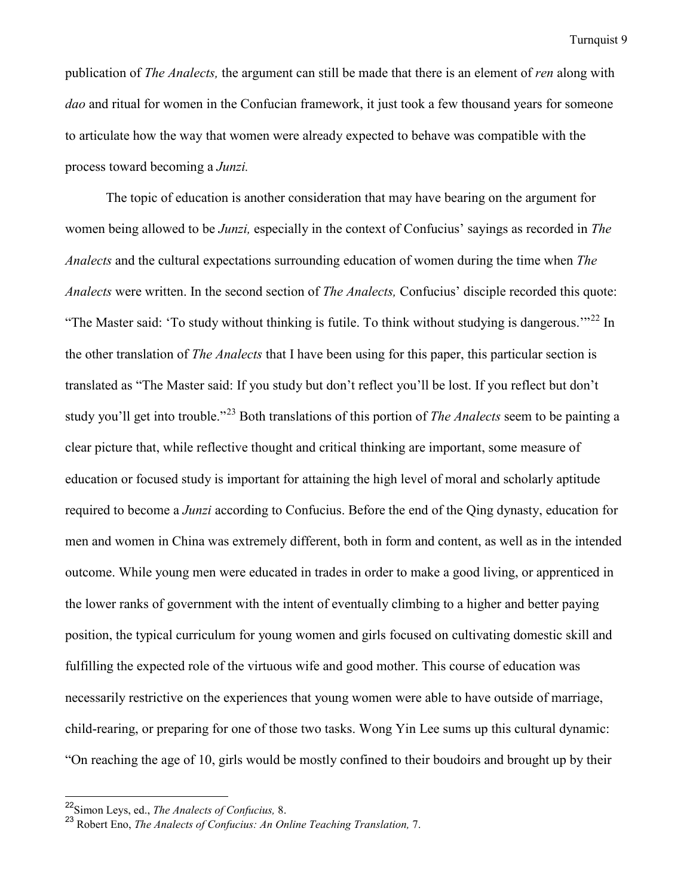publication of *The Analects,* the argument can still be made that there is an element of *ren* along with *dao* and ritual for women in the Confucian framework, it just took a few thousand years for someone to articulate how the way that women were already expected to behave was compatible with the process toward becoming a *Junzi.* 

The topic of education is another consideration that may have bearing on the argument for women being allowed to be *Junzi,* especially in the context of Confucius' sayings as recorded in *The Analects* and the cultural expectations surrounding education of women during the time when *The Analects* were written. In the second section of *The Analects,* Confucius' disciple recorded this quote: "The Master said: 'To study without thinking is futile. To think without studying is dangerous."<sup>[22](#page-9-0)</sup> In the other translation of *The Analects* that I have been using for this paper, this particular section is translated as "The Master said: If you study but don't reflect you'll be lost. If you reflect but don't study you'll get into trouble."[23](#page-9-1) Both translations of this portion of *The Analects* seem to be painting a clear picture that, while reflective thought and critical thinking are important, some measure of education or focused study is important for attaining the high level of moral and scholarly aptitude required to become a *Junzi* according to Confucius. Before the end of the Qing dynasty, education for men and women in China was extremely different, both in form and content, as well as in the intended outcome. While young men were educated in trades in order to make a good living, or apprenticed in the lower ranks of government with the intent of eventually climbing to a higher and better paying position, the typical curriculum for young women and girls focused on cultivating domestic skill and fulfilling the expected role of the virtuous wife and good mother. This course of education was necessarily restrictive on the experiences that young women were able to have outside of marriage, child-rearing, or preparing for one of those two tasks. Wong Yin Lee sums up this cultural dynamic: "On reaching the age of 10, girls would be mostly confined to their boudoirs and brought up by their

<span id="page-9-0"></span><sup>22</sup>Simon Leys, ed., *The Analects of Confucius,* 8.

<span id="page-9-1"></span><sup>23</sup> Robert Eno, *The Analects of Confucius: An Online Teaching Translation,* 7.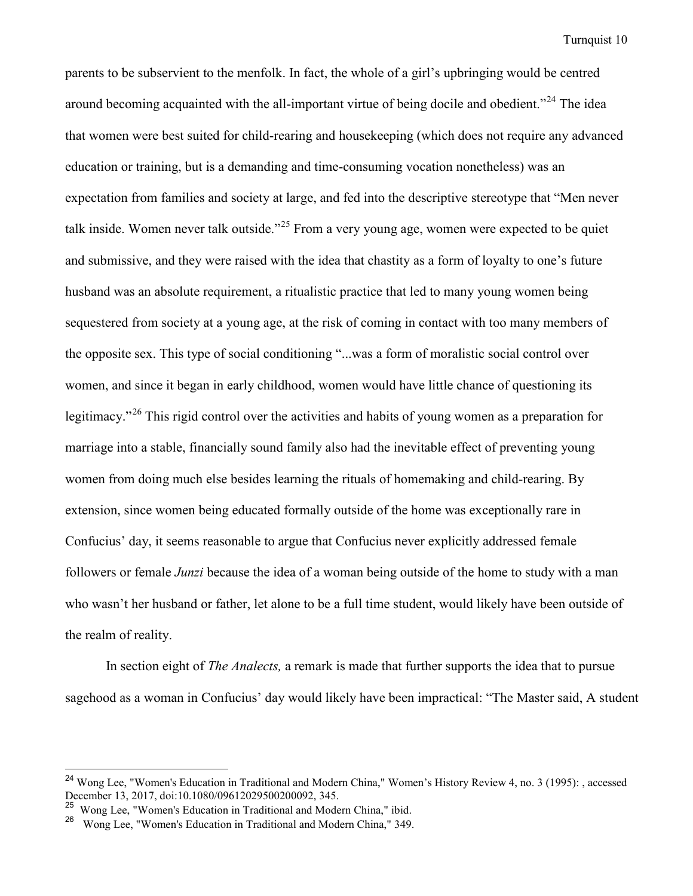parents to be subservient to the menfolk. In fact, the whole of a girl's upbringing would be centred around becoming acquainted with the all-important virtue of being docile and obedient."<sup>[24](#page-10-0)</sup> The idea that women were best suited for child-rearing and housekeeping (which does not require any advanced education or training, but is a demanding and time-consuming vocation nonetheless) was an expectation from families and society at large, and fed into the descriptive stereotype that "Men never talk inside. Women never talk outside."<sup>[25](#page-10-1)</sup> From a very young age, women were expected to be quiet and submissive, and they were raised with the idea that chastity as a form of loyalty to one's future husband was an absolute requirement, a ritualistic practice that led to many young women being sequestered from society at a young age, at the risk of coming in contact with too many members of the opposite sex. This type of social conditioning "...was a form of moralistic social control over women, and since it began in early childhood, women would have little chance of questioning its legitimacy."<sup>[26](#page-10-2)</sup> This rigid control over the activities and habits of young women as a preparation for marriage into a stable, financially sound family also had the inevitable effect of preventing young women from doing much else besides learning the rituals of homemaking and child-rearing. By extension, since women being educated formally outside of the home was exceptionally rare in Confucius' day, it seems reasonable to argue that Confucius never explicitly addressed female followers or female *Junzi* because the idea of a woman being outside of the home to study with a man who wasn't her husband or father, let alone to be a full time student, would likely have been outside of the realm of reality.

In section eight of *The Analects,* a remark is made that further supports the idea that to pursue sagehood as a woman in Confucius' day would likely have been impractical: "The Master said, A student

<span id="page-10-0"></span><sup>&</sup>lt;sup>24</sup> Wong Lee, "Women's Education in Traditional and Modern China," Women's History Review 4, no. 3 (1995): , accessed December 13, 2017, doi:10.1080/09612029500200092, 345.

<span id="page-10-1"></span><sup>25</sup> Wong Lee, "Women's Education in Traditional and Modern China," ibid.

<span id="page-10-2"></span><sup>26</sup> Wong Lee, "Women's Education in Traditional and Modern China," 349.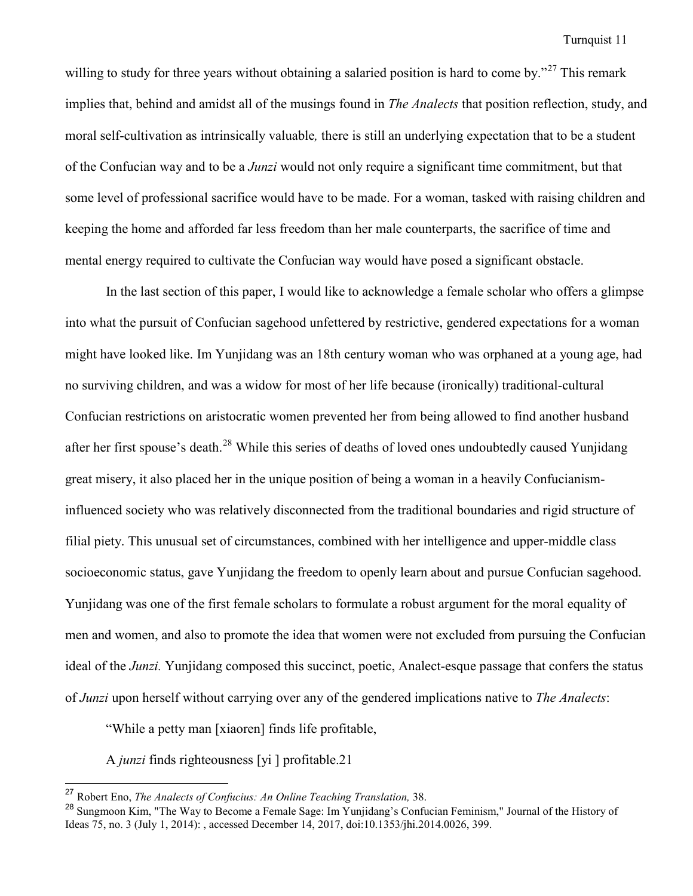willing to study for three years without obtaining a salaried position is hard to come by."<sup>[27](#page-11-0)</sup> This remark implies that, behind and amidst all of the musings found in *The Analects* that position reflection, study, and moral self-cultivation as intrinsically valuable*,* there is still an underlying expectation that to be a student of the Confucian way and to be a *Junzi* would not only require a significant time commitment, but that some level of professional sacrifice would have to be made. For a woman, tasked with raising children and keeping the home and afforded far less freedom than her male counterparts, the sacrifice of time and mental energy required to cultivate the Confucian way would have posed a significant obstacle.

In the last section of this paper, I would like to acknowledge a female scholar who offers a glimpse into what the pursuit of Confucian sagehood unfettered by restrictive, gendered expectations for a woman might have looked like. Im Yunjidang was an 18th century woman who was orphaned at a young age, had no surviving children, and was a widow for most of her life because (ironically) traditional-cultural Confucian restrictions on aristocratic women prevented her from being allowed to find another husband after her first spouse's death.[28](#page-11-1) While this series of deaths of loved ones undoubtedly caused Yunjidang great misery, it also placed her in the unique position of being a woman in a heavily Confucianisminfluenced society who was relatively disconnected from the traditional boundaries and rigid structure of filial piety. This unusual set of circumstances, combined with her intelligence and upper-middle class socioeconomic status, gave Yunjidang the freedom to openly learn about and pursue Confucian sagehood. Yunjidang was one of the first female scholars to formulate a robust argument for the moral equality of men and women, and also to promote the idea that women were not excluded from pursuing the Confucian ideal of the *Junzi.* Yunjidang composed this succinct, poetic, Analect-esque passage that confers the status of *Junzi* upon herself without carrying over any of the gendered implications native to *The Analects*:

"While a petty man [xiaoren] finds life profitable,

A *junzi* finds righteousness [yi ] profitable.21

<span id="page-11-0"></span><sup>27</sup> Robert Eno, *The Analects of Confucius: An Online Teaching Translation,* 38.

<span id="page-11-1"></span><sup>&</sup>lt;sup>28</sup> Sungmoon Kim, "The Way to Become a Female Sage: Im Yunjidang's Confucian Feminism," Journal of the History of Ideas 75, no. 3 (July 1, 2014): , accessed December 14, 2017, doi:10.1353/jhi.2014.0026, 399.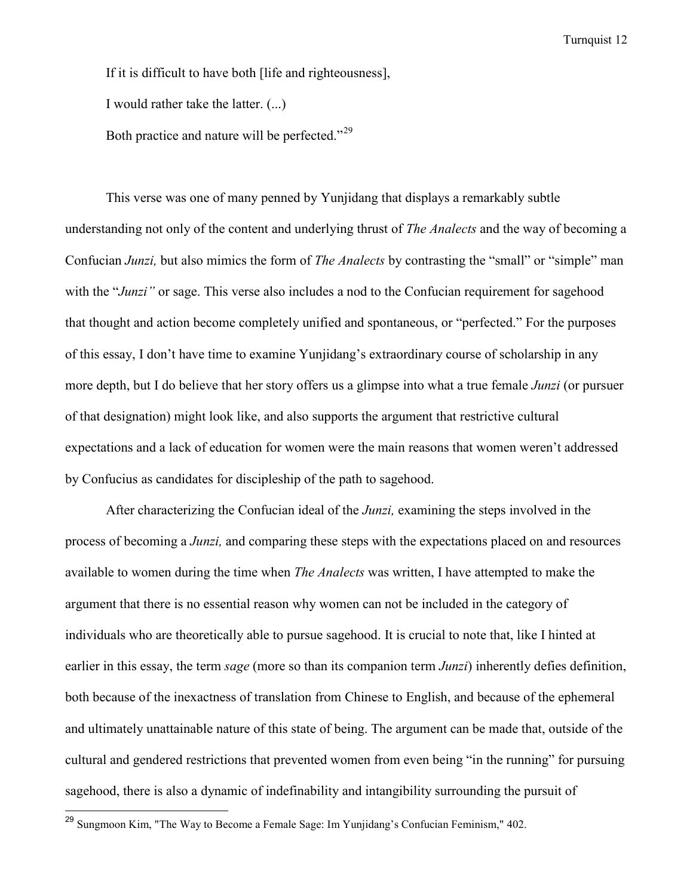If it is difficult to have both [life and righteousness],

I would rather take the latter. (...)

Both practice and nature will be perfected."<sup>[29](#page-12-0)</sup>

 This verse was one of many penned by Yunjidang that displays a remarkably subtle understanding not only of the content and underlying thrust of *The Analects* and the way of becoming a Confucian *Junzi,* but also mimics the form of *The Analects* by contrasting the "small" or "simple" man with the "*Junzi*" or sage. This verse also includes a nod to the Confucian requirement for sagehood that thought and action become completely unified and spontaneous, or "perfected." For the purposes of this essay, I don't have time to examine Yunjidang's extraordinary course of scholarship in any more depth, but I do believe that her story offers us a glimpse into what a true female *Junzi* (or pursuer of that designation) might look like, and also supports the argument that restrictive cultural expectations and a lack of education for women were the main reasons that women weren't addressed by Confucius as candidates for discipleship of the path to sagehood.

After characterizing the Confucian ideal of the *Junzi,* examining the steps involved in the process of becoming a *Junzi,* and comparing these steps with the expectations placed on and resources available to women during the time when *The Analects* was written, I have attempted to make the argument that there is no essential reason why women can not be included in the category of individuals who are theoretically able to pursue sagehood. It is crucial to note that, like I hinted at earlier in this essay, the term *sage* (more so than its companion term *Junzi*) inherently defies definition, both because of the inexactness of translation from Chinese to English, and because of the ephemeral and ultimately unattainable nature of this state of being. The argument can be made that, outside of the cultural and gendered restrictions that prevented women from even being "in the running" for pursuing sagehood, there is also a dynamic of indefinability and intangibility surrounding the pursuit of

<span id="page-12-0"></span><sup>&</sup>lt;sup>29</sup> Sungmoon Kim, "The Way to Become a Female Sage: Im Yunjidang's Confucian Feminism," 402.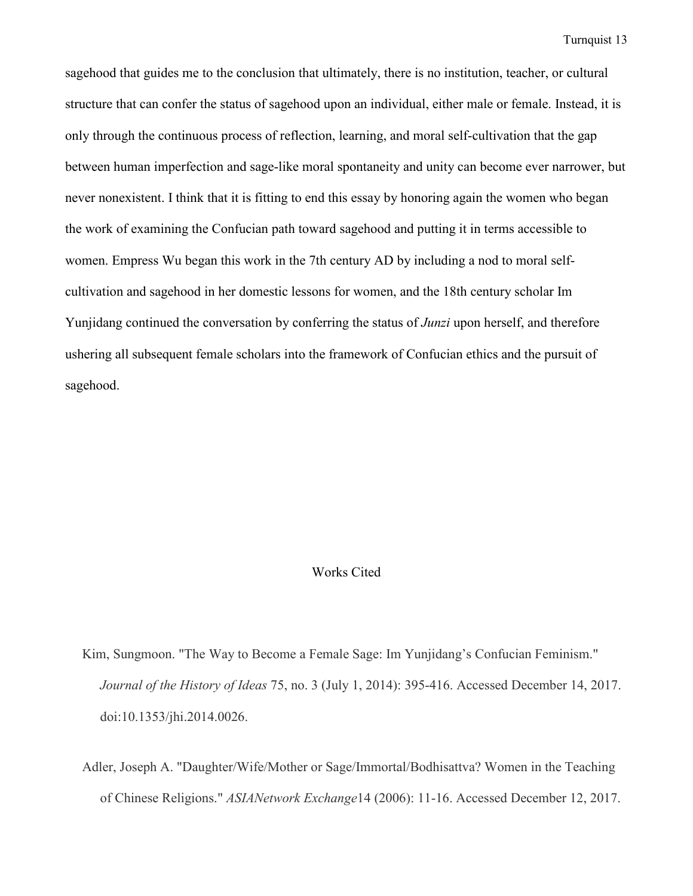sagehood that guides me to the conclusion that ultimately, there is no institution, teacher, or cultural structure that can confer the status of sagehood upon an individual, either male or female. Instead, it is only through the continuous process of reflection, learning, and moral self-cultivation that the gap between human imperfection and sage-like moral spontaneity and unity can become ever narrower, but never nonexistent. I think that it is fitting to end this essay by honoring again the women who began the work of examining the Confucian path toward sagehood and putting it in terms accessible to women. Empress Wu began this work in the 7th century AD by including a nod to moral selfcultivation and sagehood in her domestic lessons for women, and the 18th century scholar Im Yunjidang continued the conversation by conferring the status of *Junzi* upon herself, and therefore ushering all subsequent female scholars into the framework of Confucian ethics and the pursuit of sagehood.

#### Works Cited

- Kim, Sungmoon. "The Way to Become a Female Sage: Im Yunjidang's Confucian Feminism." *Journal of the History of Ideas* 75, no. 3 (July 1, 2014): 395-416. Accessed December 14, 2017. doi:10.1353/jhi.2014.0026.
- Adler, Joseph A. "Daughter/Wife/Mother or Sage/Immortal/Bodhisattva? Women in the Teaching of Chinese Religions." *ASIANetwork Exchange*14 (2006): 11-16. Accessed December 12, 2017.